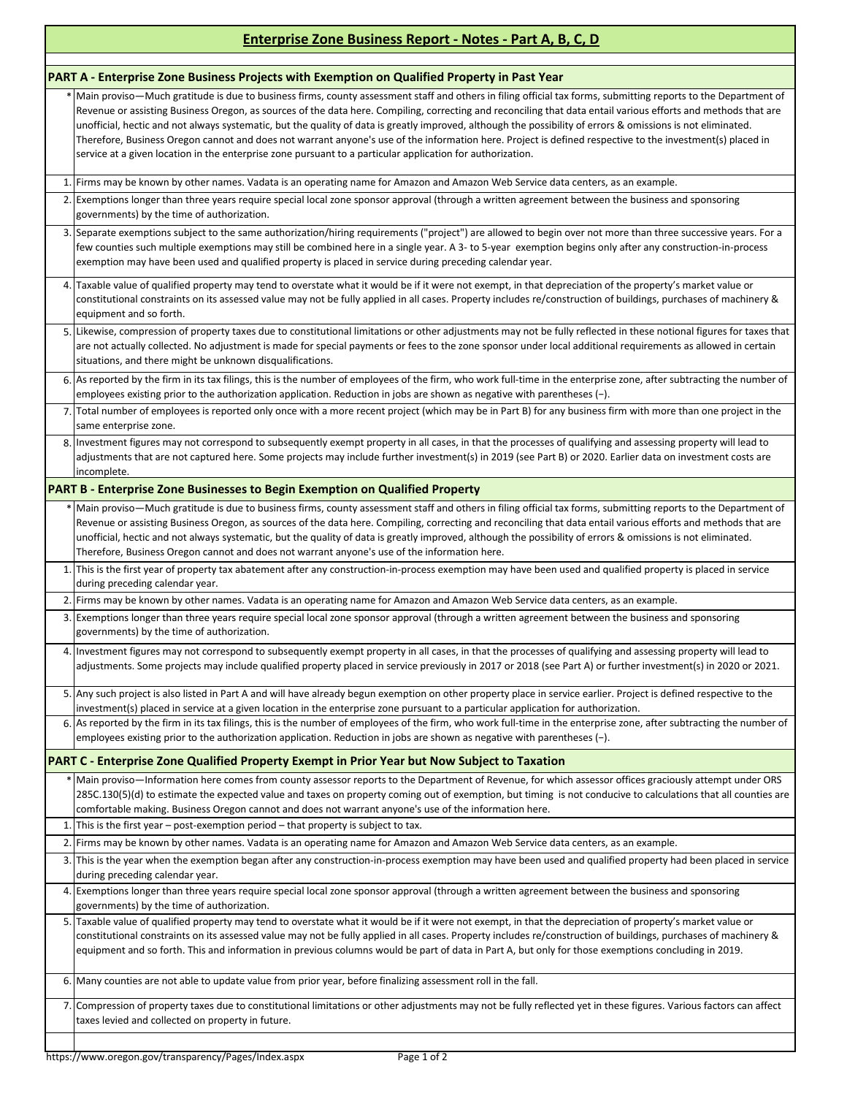## **Enterprise Zone Business Report - Notes - Part A, B, C, D**

|                                                                                                     | PART A - Enterprise Zone Business Projects with Exemption on Qualified Property in Past Year                                                                                                                                                                                                                                                                                                                                                                                                                                                                                                                                                                                                                                                                                  |
|-----------------------------------------------------------------------------------------------------|-------------------------------------------------------------------------------------------------------------------------------------------------------------------------------------------------------------------------------------------------------------------------------------------------------------------------------------------------------------------------------------------------------------------------------------------------------------------------------------------------------------------------------------------------------------------------------------------------------------------------------------------------------------------------------------------------------------------------------------------------------------------------------|
|                                                                                                     | * Main proviso—Much gratitude is due to business firms, county assessment staff and others in filing official tax forms, submitting reports to the Department of<br>Revenue or assisting Business Oregon, as sources of the data here. Compiling, correcting and reconciling that data entail various efforts and methods that are<br>unofficial, hectic and not always systematic, but the quality of data is greatly improved, although the possibility of errors & omissions is not eliminated.<br>Therefore, Business Oregon cannot and does not warrant anyone's use of the information here. Project is defined respective to the investment(s) placed in<br>service at a given location in the enterprise zone pursuant to a particular application for authorization. |
|                                                                                                     | 1. Firms may be known by other names. Vadata is an operating name for Amazon and Amazon Web Service data centers, as an example.                                                                                                                                                                                                                                                                                                                                                                                                                                                                                                                                                                                                                                              |
|                                                                                                     | 2. Exemptions longer than three years require special local zone sponsor approval (through a written agreement between the business and sponsoring<br>governments) by the time of authorization.                                                                                                                                                                                                                                                                                                                                                                                                                                                                                                                                                                              |
|                                                                                                     | 3. Separate exemptions subject to the same authorization/hiring requirements ("project") are allowed to begin over not more than three successive years. For a<br>few counties such multiple exemptions may still be combined here in a single year. A 3- to 5-year exemption begins only after any construction-in-process<br>exemption may have been used and qualified property is placed in service during preceding calendar year.                                                                                                                                                                                                                                                                                                                                       |
|                                                                                                     | 4. Taxable value of qualified property may tend to overstate what it would be if it were not exempt, in that depreciation of the property's market value or<br>constitutional constraints on its assessed value may not be fully applied in all cases. Property includes re/construction of buildings, purchases of machinery &<br>equipment and so forth.                                                                                                                                                                                                                                                                                                                                                                                                                    |
|                                                                                                     | 5. Likewise, compression of property taxes due to constitutional limitations or other adjustments may not be fully reflected in these notional figures for taxes that<br>are not actually collected. No adjustment is made for special payments or fees to the zone sponsor under local additional requirements as allowed in certain<br>situations, and there might be unknown disqualifications.                                                                                                                                                                                                                                                                                                                                                                            |
|                                                                                                     | 6. As reported by the firm in its tax filings, this is the number of employees of the firm, who work full-time in the enterprise zone, after subtracting the number of<br>employees existing prior to the authorization application. Reduction in jobs are shown as negative with parentheses (-).                                                                                                                                                                                                                                                                                                                                                                                                                                                                            |
|                                                                                                     | 7. Total number of employees is reported only once with a more recent project (which may be in Part B) for any business firm with more than one project in the<br>same enterprise zone.                                                                                                                                                                                                                                                                                                                                                                                                                                                                                                                                                                                       |
|                                                                                                     | 8. Investment figures may not correspond to subsequently exempt property in all cases, in that the processes of qualifying and assessing property will lead to<br>adjustments that are not captured here. Some projects may include further investment(s) in 2019 (see Part B) or 2020. Earlier data on investment costs are<br>incomplete.                                                                                                                                                                                                                                                                                                                                                                                                                                   |
| <b>PART B - Enterprise Zone Businesses to Begin Exemption on Qualified Property</b>                 |                                                                                                                                                                                                                                                                                                                                                                                                                                                                                                                                                                                                                                                                                                                                                                               |
|                                                                                                     | * Main proviso—Much gratitude is due to business firms, county assessment staff and others in filing official tax forms, submitting reports to the Department of<br>Revenue or assisting Business Oregon, as sources of the data here. Compiling, correcting and reconciling that data entail various efforts and methods that are<br>unofficial, hectic and not always systematic, but the quality of data is greatly improved, although the possibility of errors & omissions is not eliminated.<br>Therefore, Business Oregon cannot and does not warrant anyone's use of the information here.                                                                                                                                                                            |
|                                                                                                     | 1. This is the first year of property tax abatement after any construction-in-process exemption may have been used and qualified property is placed in service<br>during preceding calendar year.                                                                                                                                                                                                                                                                                                                                                                                                                                                                                                                                                                             |
|                                                                                                     | 2. Firms may be known by other names. Vadata is an operating name for Amazon and Amazon Web Service data centers, as an example.                                                                                                                                                                                                                                                                                                                                                                                                                                                                                                                                                                                                                                              |
|                                                                                                     | 3. Exemptions longer than three years require special local zone sponsor approval (through a written agreement between the business and sponsoring<br>governments) by the time of authorization.                                                                                                                                                                                                                                                                                                                                                                                                                                                                                                                                                                              |
|                                                                                                     | 4. Investment figures may not correspond to subsequently exempt property in all cases, in that the processes of qualifying and assessing property will lead to<br>adjustments. Some projects may include qualified property placed in service previously in 2017 or 2018 (see Part A) or further investment(s) in 2020 or 2021.                                                                                                                                                                                                                                                                                                                                                                                                                                               |
|                                                                                                     | 5. Any such project is also listed in Part A and will have already begun exemption on other property place in service earlier. Project is defined respective to the<br>investment(s) placed in service at a given location in the enterprise zone pursuant to a particular application for authorization.                                                                                                                                                                                                                                                                                                                                                                                                                                                                     |
|                                                                                                     | 6. As reported by the firm in its tax filings, this is the number of employees of the firm, who work full-time in the enterprise zone, after subtracting the number of<br>employees existing prior to the authorization application. Reduction in jobs are shown as negative with parentheses $(-)$ .                                                                                                                                                                                                                                                                                                                                                                                                                                                                         |
| <b>PART C - Enterprise Zone Qualified Property Exempt in Prior Year but Now Subject to Taxation</b> |                                                                                                                                                                                                                                                                                                                                                                                                                                                                                                                                                                                                                                                                                                                                                                               |
|                                                                                                     | * Main proviso—Information here comes from county assessor reports to the Department of Revenue, for which assessor offices graciously attempt under ORS<br>285C.130(5)(d) to estimate the expected value and taxes on property coming out of exemption, but timing is not conducive to calculations that all counties are<br>comfortable making. Business Oregon cannot and does not warrant anyone's use of the information here.                                                                                                                                                                                                                                                                                                                                           |
|                                                                                                     | 1. This is the first year – post-exemption period – that property is subject to tax.                                                                                                                                                                                                                                                                                                                                                                                                                                                                                                                                                                                                                                                                                          |
|                                                                                                     | 2. Firms may be known by other names. Vadata is an operating name for Amazon and Amazon Web Service data centers, as an example.                                                                                                                                                                                                                                                                                                                                                                                                                                                                                                                                                                                                                                              |
|                                                                                                     | 3. This is the year when the exemption began after any construction-in-process exemption may have been used and qualified property had been placed in service<br>during preceding calendar year.                                                                                                                                                                                                                                                                                                                                                                                                                                                                                                                                                                              |
|                                                                                                     | 4. Exemptions longer than three years require special local zone sponsor approval (through a written agreement between the business and sponsoring<br>governments) by the time of authorization.                                                                                                                                                                                                                                                                                                                                                                                                                                                                                                                                                                              |
|                                                                                                     | 5. Taxable value of qualified property may tend to overstate what it would be if it were not exempt, in that the depreciation of property's market value or<br>constitutional constraints on its assessed value may not be fully applied in all cases. Property includes re/construction of buildings, purchases of machinery &<br>equipment and so forth. This and information in previous columns would be part of data in Part A, but only for those exemptions concluding in 2019.                                                                                                                                                                                                                                                                                        |
|                                                                                                     | 6. Many counties are not able to update value from prior year, before finalizing assessment roll in the fall.                                                                                                                                                                                                                                                                                                                                                                                                                                                                                                                                                                                                                                                                 |
|                                                                                                     | 7. Compression of property taxes due to constitutional limitations or other adjustments may not be fully reflected yet in these figures. Various factors can affect<br>taxes levied and collected on property in future.                                                                                                                                                                                                                                                                                                                                                                                                                                                                                                                                                      |
|                                                                                                     |                                                                                                                                                                                                                                                                                                                                                                                                                                                                                                                                                                                                                                                                                                                                                                               |